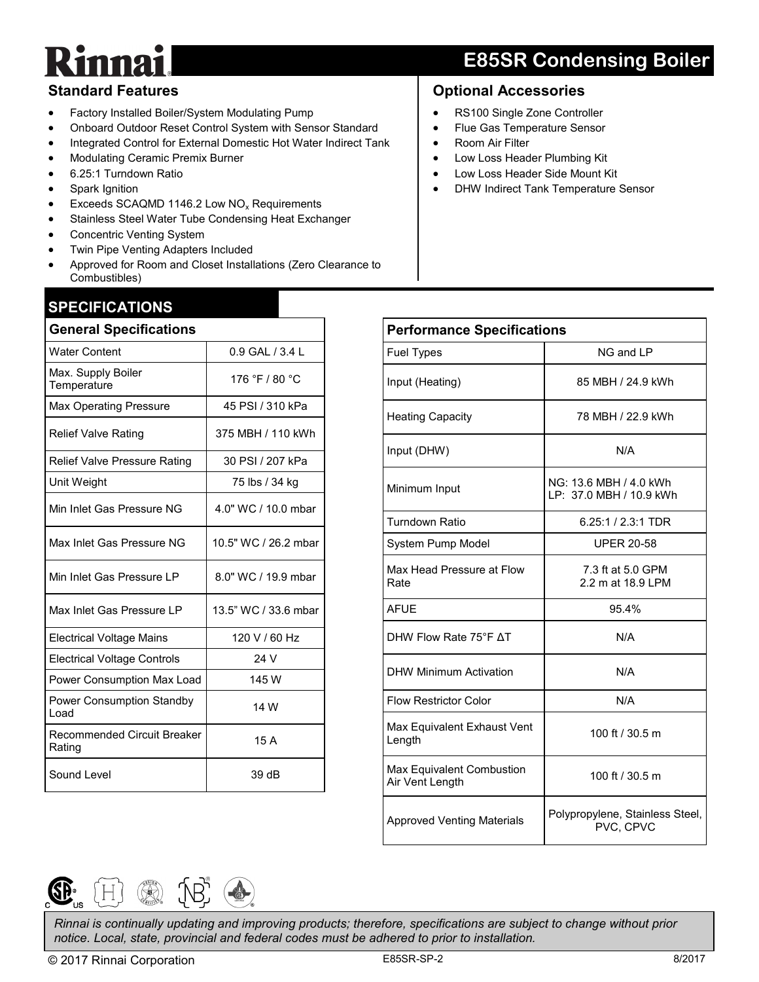## **E85SR Condensing Boiler**

### **Standard Features**

- Factory Installed Boiler/System Modulating Pump
- Onboard Outdoor Reset Control System with Sensor Standard
- Integrated Control for External Domestic Hot Water Indirect Tank
- Modulating Ceramic Premix Burner
- 6.25:1 Turndown Ratio
- Spark Ignition
- Exceeds SCAQMD 1146.2 Low  $NO<sub>x</sub>$  Requirements
- Stainless Steel Water Tube Condensing Heat Exchanger
- Concentric Venting System
- Twin Pipe Venting Adapters Included
- Approved for Room and Closet Installations (Zero Clearance to Combustibles)

## **SPECIFICATIONS**

| <b>General Specifications</b>                |                      |  |  |  |
|----------------------------------------------|----------------------|--|--|--|
| <b>Water Content</b>                         | 0.9 GAL / 3.4 L      |  |  |  |
| Max. Supply Boiler<br>Temperature            | 176 °F / 80 °C       |  |  |  |
| <b>Max Operating Pressure</b>                | 45 PSI / 310 kPa     |  |  |  |
| <b>Relief Valve Rating</b>                   | 375 MBH / 110 kWh    |  |  |  |
| <b>Relief Valve Pressure Rating</b>          | 30 PSI / 207 kPa     |  |  |  |
| Unit Weight                                  | 75 lbs / 34 kg       |  |  |  |
| Min Inlet Gas Pressure NG                    | 4.0" WC / 10.0 mbar  |  |  |  |
| Max Inlet Gas Pressure NG                    | 10.5" WC / 26.2 mbar |  |  |  |
| Min Inlet Gas Pressure LP                    | 8.0" WC / 19.9 mbar  |  |  |  |
| Max Inlet Gas Pressure LP                    | 13.5" WC / 33.6 mbar |  |  |  |
| <b>Electrical Voltage Mains</b>              | 120 V / 60 Hz        |  |  |  |
| <b>Electrical Voltage Controls</b>           | 24 V                 |  |  |  |
| Power Consumption Max Load                   | 145 W                |  |  |  |
| <b>Power Consumption Standby</b><br>Load     | 14 W                 |  |  |  |
| <b>Recommended Circuit Breaker</b><br>Rating | 15 A                 |  |  |  |
| Sound Level                                  | 39 dB                |  |  |  |

#### **Optional Accessories**

- RS100 Single Zone Controller
- Flue Gas Temperature Sensor
- Room Air Filter
- Low Loss Header Plumbing Kit
- Low Loss Header Side Mount Kit
- DHW Indirect Tank Temperature Sensor

| <b>Performance Specifications</b>            |                                                   |  |  |
|----------------------------------------------|---------------------------------------------------|--|--|
| <b>Fuel Types</b>                            | NG and LP                                         |  |  |
| Input (Heating)                              | 85 MBH / 24.9 kWh                                 |  |  |
| <b>Heating Capacity</b>                      | 78 MBH / 22.9 kWh                                 |  |  |
| Input (DHW)                                  | N/A                                               |  |  |
| Minimum Input                                | NG: 13.6 MBH / 4.0 kWh<br>LP: 37.0 MBH / 10.9 kWh |  |  |
| Turndown Ratio                               | $6.25:1 / 2.3:1$ TDR                              |  |  |
| System Pump Model                            | <b>UPER 20-58</b>                                 |  |  |
| Max Head Pressure at Flow<br>Rate            | 7.3 ft at 5.0 GPM<br>2.2 m at 18.9 LPM            |  |  |
| <b>AFUE</b>                                  | 95.4%                                             |  |  |
| DHW Flow Rate 75°F AT                        | N/A                                               |  |  |
| <b>DHW Minimum Activation</b>                | N/A                                               |  |  |
| <b>Flow Restrictor Color</b>                 | N/A                                               |  |  |
| Max Equivalent Exhaust Vent<br>Length        | 100 ft / 30.5 m                                   |  |  |
| Max Equivalent Combustion<br>Air Vent Length | 100 ft / 30.5 m                                   |  |  |
| <b>Approved Venting Materials</b>            | Polypropylene, Stainless Steel,<br>PVC, CPVC      |  |  |



*Rinnai is continually updating and improving products; therefore, specifications are subject to change without prior notice. Local, state, provincial and federal codes must be adhered to prior to installation.*